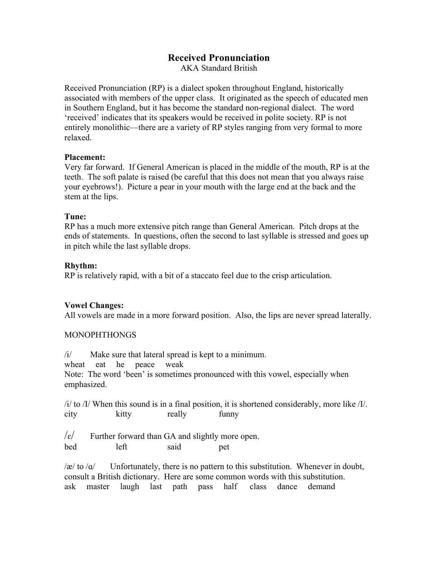# **Received Pronunciation**

AKA Standard British

Received Pronunciation (RP) is a dialect spoken throughout England, historically associated with members of the upper class. It originated as the speech of educated men in Southern England, but it has become the standard non-regional dialect. The word 'received' indicates that its speakers would be received in polite society. RP is not entirely monolithic—there are a variety of RP styles ranging from very formal to more relaxed.

## **Placement:**

Very far forward. If General American is placed in the middle of the mouth, RP is at the teeth. The soft palate is raised (be careful that this does not mean that you always raise your eyebrows!). Picture a pear in your mouth with the large end at the back and the stem at the lips.

## **Tune:**

RP has a much more extensive pitch range than General American. Pitch drops at the ends of statements. In questions, often the second to last syllable is stressed and goes up in pitch while the last syllable drops.

## **Rhythm:**

RP is relatively rapid, with a bit of a staccato feel due to the crisp articulation.

# **Vowel Changes:**

All vowels are made in a more forward position. Also, the lips are never spread laterally.

## MONOPHTHONGS

/i/ Make sure that lateral spread is kept to a minimum. wheat eat he peace weak Note: The word 'been' is sometimes pronounced with this vowel, especially when emphasized.

 $\frac{1}{4}$  to  $\frac{1}{1}$  When this sound is in a final position, it is shortened considerably, more like  $\frac{1}{\ell}$ . city kitty really funny

 $\sqrt{\epsilon}$  Further forward than GA and slightly more open. bed left said pet

 $\alpha$  to  $\alpha$  Unfortunately, there is no pattern to this substitution. Whenever in doubt, consult a British dictionary. Here are some common words with this substitution. ask master laugh last path pass half class dance demand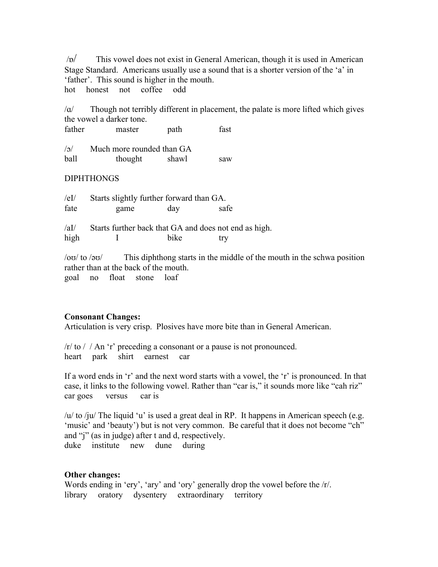/ɒ/ This vowel does not exist in General American, though it is used in American Stage Standard. Americans usually use a sound that is a shorter version of the 'a' in 'father'. This sound is higher in the mouth. hot honest not coffee odd

/ɑ/ Though not terribly different in placement, the palate is more lifted which gives the vowel a darker tone.

| father     | master                    | path  | fast |
|------------|---------------------------|-------|------|
| $\sqrt{2}$ | Much more rounded than GA |       |      |
| ball       | thought                   | shawl | saw  |

# DIPHTHONGS

| /eI/<br>fate                   | Starts slightly further forward than GA.<br>game      | day  | safe |  |
|--------------------------------|-------------------------------------------------------|------|------|--|
| $\lambda$ aI $\lambda$<br>high | Starts further back that GA and does not end as high. | bike | trv  |  |

/oʊ/ to /əʊ/ This diphthong starts in the middle of the mouth in the schwa position rather than at the back of the mouth. goal no float stone loaf

# **Consonant Changes:**

Articulation is very crisp. Plosives have more bite than in General American.

/r/ to / / An 'r' preceding a consonant or a pause is not pronounced. heart park shirt earnest car

If a word ends in 'r' and the next word starts with a vowel, the 'r' is pronounced. In that case, it links to the following vowel. Rather than "car is," it sounds more like "cah riz" car goes versus car is

 $/u$  to /ju/ The liquid 'u' is used a great deal in RP. It happens in American speech (e.g. 'music' and 'beauty') but is not very common. Be careful that it does not become "ch" and "j" (as in judge) after t and d, respectively. duke institute new dune during

# **Other changes:**

Words ending in 'ery', 'ary' and 'ory' generally drop the vowel before the /r/. library oratory dysentery extraordinary territory